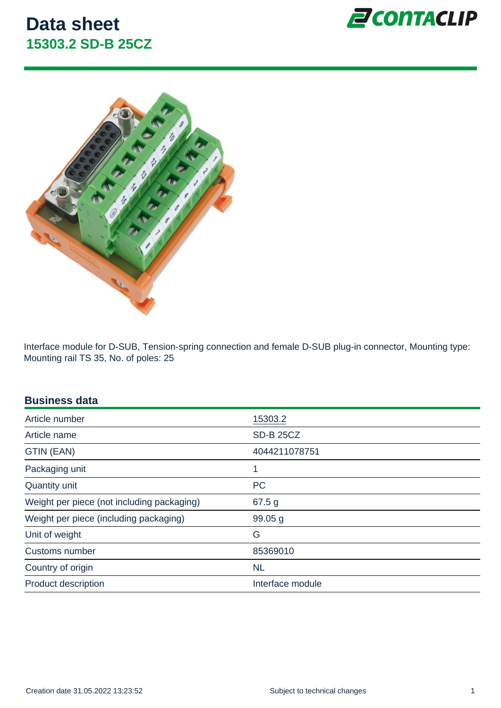Interface module for D-SUB, Tension-spring connection and female D-SUB plug-in connector, Mounting type: Mounting rail TS 35, No. of poles: 25

#### Business data

| Article number                             | 15303.2            |
|--------------------------------------------|--------------------|
| Article name                               | <b>SD-B 25CZ</b>   |
| GTIN (EAN)                                 | 4044211078751      |
| Packaging unit                             | 1                  |
| Quantity unit                              | <b>PC</b>          |
| Weight per piece (not including packaging) | 67.5 g             |
| Weight per piece (including packaging)     | 99.05 <sub>g</sub> |
| Unit of weight                             | G                  |
| Customs number                             | 85369010           |
| Country of origin                          | <b>NL</b>          |
| <b>Product description</b>                 | Interface module   |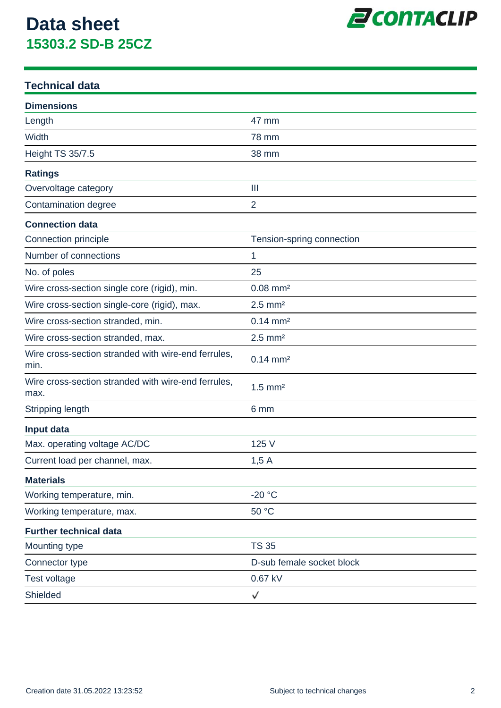

### **Technical data**

| <b>Dimensions</b>                                           |                           |
|-------------------------------------------------------------|---------------------------|
| Length                                                      | 47 mm                     |
| Width                                                       | <b>78 mm</b>              |
| <b>Height TS 35/7.5</b>                                     | 38 mm                     |
| <b>Ratings</b>                                              |                           |
| Overvoltage category                                        | Ш                         |
| Contamination degree                                        | $\overline{2}$            |
| <b>Connection data</b>                                      |                           |
| Connection principle                                        | Tension-spring connection |
| Number of connections                                       | 1                         |
| No. of poles                                                | 25                        |
| Wire cross-section single core (rigid), min.                | $0.08$ mm <sup>2</sup>    |
| Wire cross-section single-core (rigid), max.                | $2.5$ mm <sup>2</sup>     |
| Wire cross-section stranded, min.                           | $0.14 \, \text{mm}^2$     |
| Wire cross-section stranded, max.                           | $2.5$ mm <sup>2</sup>     |
| Wire cross-section stranded with wire-end ferrules,<br>min. | $0.14 \, \text{mm}^2$     |
| Wire cross-section stranded with wire-end ferrules,<br>max. | $1.5$ mm <sup>2</sup>     |
| Stripping length                                            | 6 mm                      |
| Input data                                                  |                           |
| Max. operating voltage AC/DC                                | 125 V                     |
| Current load per channel, max.                              | 1,5A                      |
| <b>Materials</b>                                            |                           |
| Working temperature, min.                                   | $-20$ °C                  |
| Working temperature, max.                                   | 50 °C                     |
| <b>Further technical data</b>                               |                           |
| Mounting type                                               | <b>TS 35</b>              |
| Connector type                                              | D-sub female socket block |
| Test voltage                                                | 0.67 kV                   |
| Shielded                                                    | √                         |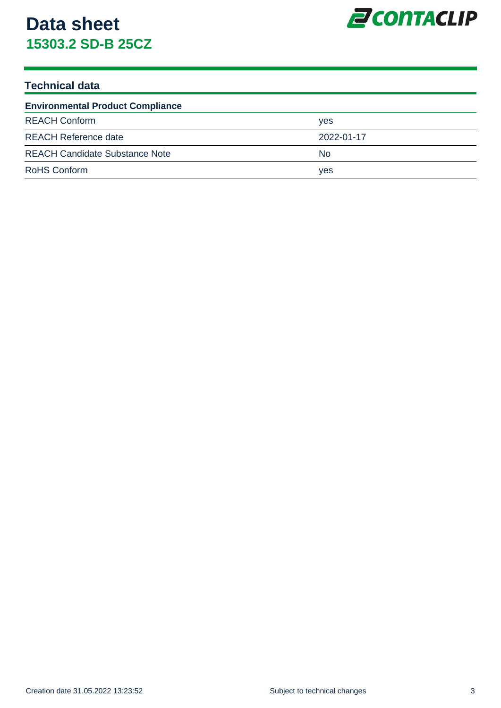

### **Technical data**

| <b>Environmental Product Compliance</b> |            |  |
|-----------------------------------------|------------|--|
| <b>REACH Conform</b>                    | <b>ves</b> |  |
| <b>REACH Reference date</b>             | 2022-01-17 |  |
| <b>REACH Candidate Substance Note</b>   | No.        |  |
| <b>RoHS Conform</b>                     | yes        |  |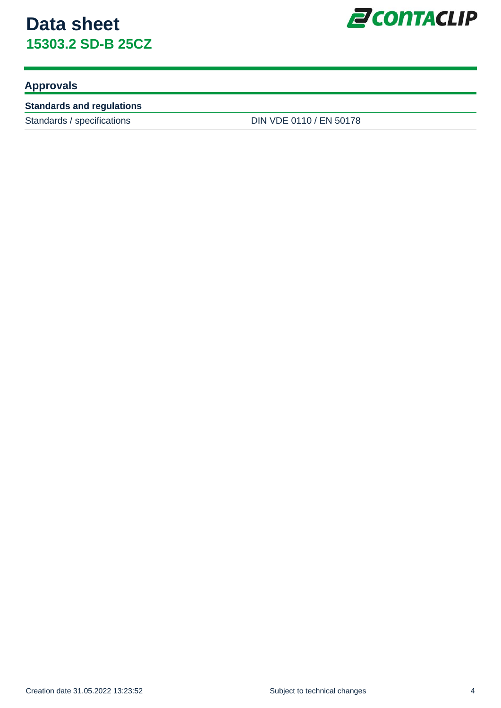

### **Approvals**

#### **Standards and regulations**

Standards / specifications DIN VDE 0110 / EN 50178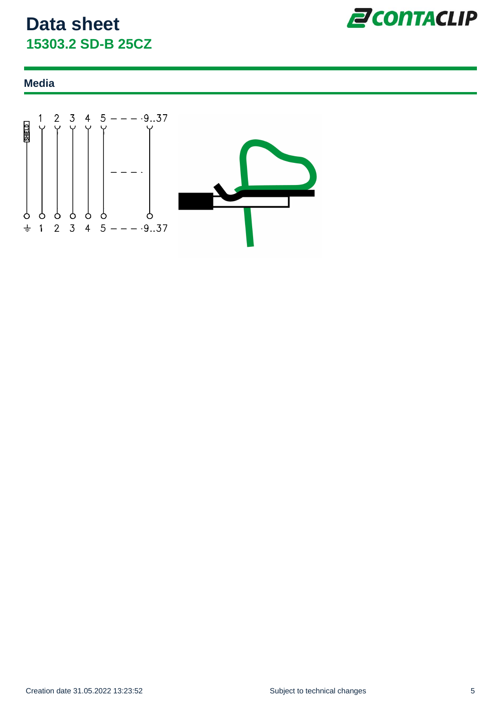

#### **Media**